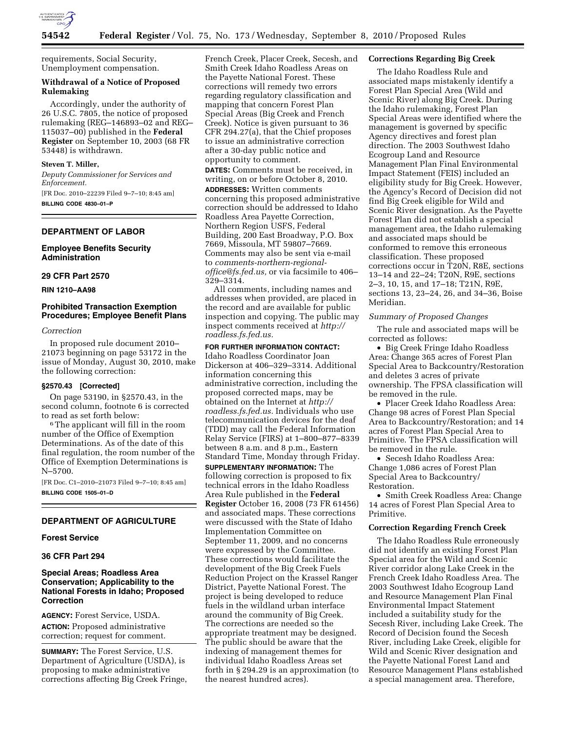

requirements, Social Security, Unemployment compensation.

## **Withdrawal of a Notice of Proposed Rulemaking**

Accordingly, under the authority of 26 U.S.C. 7805, the notice of proposed rulemaking (REG–146893–02 and REG– 115037–00) published in the **Federal Register** on September 10, 2003 (68 FR 53448) is withdrawn.

#### **Steven T. Miller,**

*Deputy Commissioner for Services and Enforcement.* 

[FR Doc. 2010–22239 Filed 9–7–10; 8:45 am] **BILLING CODE 4830–01–P** 

#### **DEPARTMENT OF LABOR**

## **Employee Benefits Security Administration**

#### **29 CFR Part 2570**

**RIN 1210–AA98** 

## **Prohibited Transaction Exemption Procedures; Employee Benefit Plans**

#### *Correction*

In proposed rule document 2010– 21073 beginning on page 53172 in the issue of Monday, August 30, 2010, make the following correction:

#### **§2570.43 [Corrected]**

On page 53190, in §2570.43, in the second column, footnote 6 is corrected<br>to read as set forth below:

<sup>6</sup> The applicant will fill in the room number of the Office of Exemption Determinations. As of the date of this final regulation, the room number of the Office of Exemption Determinations is N–5700.

[FR Doc. C1–2010–21073 Filed 9–7–10; 8:45 am] **BILLING CODE 1505–01–D** 

## **DEPARTMENT OF AGRICULTURE**

#### **Forest Service**

# **36 CFR Part 294**

# **Special Areas; Roadless Area Conservation; Applicability to the National Forests in Idaho; Proposed Correction**

**AGENCY:** Forest Service, USDA. **ACTION:** Proposed administrative correction; request for comment.

**SUMMARY:** The Forest Service, U.S. Department of Agriculture (USDA), is proposing to make administrative corrections affecting Big Creek Fringe,

French Creek, Placer Creek, Secesh, and Smith Creek Idaho Roadless Areas on the Payette National Forest. These corrections will remedy two errors regarding regulatory classification and mapping that concern Forest Plan Special Areas (Big Creek and French Creek). Notice is given pursuant to 36 CFR 294.27(a), that the Chief proposes to issue an administrative correction after a 30-day public notice and opportunity to comment. **DATES:** Comments must be received, in writing, on or before October 8, 2010. **ADDRESSES:** Written comments concerning this proposed administrative correction should be addressed to Idaho Roadless Area Payette Correction, Northern Region USFS, Federal Building, 200 East Broadway, P.O. Box 7669, Missoula, MT 59807–7669. Comments may also be sent via e-mail to *[comments-northern-regional](mailto:comments-northern-regional-office@fs.fed.us)[office@fs.fed.us,](mailto:comments-northern-regional-office@fs.fed.us)* or via facsimile to 406– 329–3314.

All comments, including names and addresses when provided, are placed in the record and are available for public inspection and copying. The public may inspect comments received at *[http://](http://roadless.fs.fed.us) [roadless.fs.fed.us.](http://roadless.fs.fed.us)* 

## **FOR FURTHER INFORMATION CONTACT:**

Idaho Roadless Coordinator Joan Dickerson at 406–329–3314. Additional information concerning this administrative correction, including the proposed corrected maps, may be obtained on the Internet at *[http://](http://roadless.fs.fed.us) [roadless.fs.fed.us.](http://roadless.fs.fed.us)* Individuals who use telecommunication devices for the deaf (TDD) may call the Federal Information Relay Service (FIRS) at 1–800–877–8339 between 8 a.m. and 8 p.m., Eastern Standard Time, Monday through Friday.

**SUPPLEMENTARY INFORMATION:** The following correction is proposed to fix technical errors in the Idaho Roadless Area Rule published in the **Federal Register** October 16, 2008 (73 FR 61456) and associated maps. These corrections were discussed with the State of Idaho Implementation Committee on September 11, 2009, and no concerns were expressed by the Committee. These corrections would facilitate the development of the Big Creek Fuels Reduction Project on the Krassel Ranger District, Payette National Forest. The project is being developed to reduce fuels in the wildland urban interface around the community of Big Creek. The corrections are needed so the appropriate treatment may be designed. The public should be aware that the indexing of management themes for individual Idaho Roadless Areas set forth in § 294.29 is an approximation (to the nearest hundred acres).

## **Corrections Regarding Big Creek**

The Idaho Roadless Rule and associated maps mistakenly identify a Forest Plan Special Area (Wild and Scenic River) along Big Creek. During the Idaho rulemaking, Forest Plan Special Areas were identified where the management is governed by specific Agency directives and forest plan direction. The 2003 Southwest Idaho Ecogroup Land and Resource Management Plan Final Environmental Impact Statement (FEIS) included an eligibility study for Big Creek. However, the Agency's Record of Decision did not find Big Creek eligible for Wild and Scenic River designation. As the Payette Forest Plan did not establish a special management area, the Idaho rulemaking and associated maps should be conformed to remove this erroneous classification. These proposed corrections occur in T20N, R8E, sections 13–14 and 22–24; T20N, R9E, sections 2–3, 10, 15, and 17–18; T21N, R9E, sections 13, 23–24, 26, and 34–36, Boise Meridian.

## *Summary of Proposed Changes*

The rule and associated maps will be corrected as follows:

• Big Creek Fringe Idaho Roadless Area: Change 365 acres of Forest Plan Special Area to Backcountry/Restoration and deletes 3 acres of private ownership. The FPSA classification will be removed in the rule.

• Placer Creek Idaho Roadless Area: Change 98 acres of Forest Plan Special Area to Backcountry/Restoration; and 14 acres of Forest Plan Special Area to Primitive. The FPSA classification will be removed in the rule.

• Secesh Idaho Roadless Area: Change 1,086 acres of Forest Plan Special Area to Backcountry/ Restoration.

• Smith Creek Roadless Area: Change 14 acres of Forest Plan Special Area to Primitive.

#### **Correction Regarding French Creek**

The Idaho Roadless Rule erroneously did not identify an existing Forest Plan Special area for the Wild and Scenic River corridor along Lake Creek in the French Creek Idaho Roadless Area. The 2003 Southwest Idaho Ecogroup Land and Resource Management Plan Final Environmental Impact Statement included a suitability study for the Secesh River, including Lake Creek. The Record of Decision found the Secesh River, including Lake Creek, eligible for Wild and Scenic River designation and the Payette National Forest Land and Resource Management Plans established a special management area. Therefore,